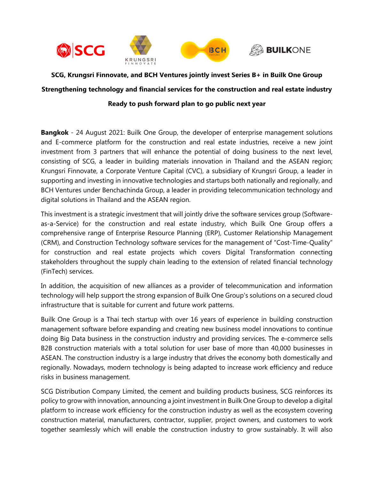

**SCG, Krungsri Finnovate, and BCH Ventures jointly invest Series B+ in Builk One Group Strengthening technology and financial services for the construction and real estate industry Ready to push forward plan to go public next year** 

**Bangkok** - 24 August 2021: Builk One Group, the developer of enterprise management solutions and E-commerce platform for the construction and real estate industries, receive a new joint investment from 3 partners that will enhance the potential of doing business to the next level, consisting of SCG, a leader in building materials innovation in Thailand and the ASEAN region; Krungsri Finnovate, a Corporate Venture Capital (CVC), a subsidiary of Krungsri Group, a leader in supporting and investing in innovative technologies and startups both nationally and regionally, and BCH Ventures under Benchachinda Group, a leader in providing telecommunication technology and digital solutions in Thailand and the ASEAN region.

This investment is a strategic investment that will jointly drive the software services group (Softwareas-a-Service) for the construction and real estate industry, which Builk One Group offers a comprehensive range of Enterprise Resource Planning (ERP), Customer Relationship Management (CRM), and Construction Technology software services for the management of "Cost-Time-Quality" for construction and real estate projects which covers Digital Transformation connecting stakeholders throughout the supply chain leading to the extension of related financial technology (FinTech) services.

In addition, the acquisition of new alliances as a provider of telecommunication and information technology will help support the strong expansion of Builk One Group's solutions on a secured cloud infrastructure that is suitable for current and future work patterns.

Builk One Group is a Thai tech startup with over 16 years of experience in building construction management software before expanding and creating new business model innovations to continue doing Big Data business in the construction industry and providing services. The e-commerce sells B2B construction materials with a total solution for user base of more than 40,000 businesses in ASEAN. The construction industry is a large industry that drives the economy both domestically and regionally. Nowadays, modern technology is being adapted to increase work efficiency and reduce risks in business management.

SCG Distribution Company Limited, the cement and building products business, SCG reinforces its policy to grow with innovation, announcing a joint investment in Builk One Group to develop a digital platform to increase work efficiency for the construction industry as well as the ecosystem covering construction material, manufacturers, contractor, supplier, project owners, and customers to work together seamlessly which will enable the construction industry to grow sustainably. It will also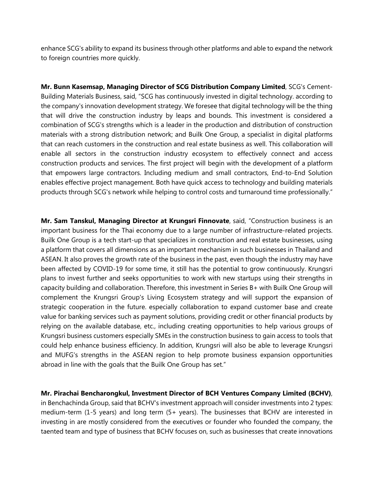enhance SCG's ability to expand its business through other platforms and able to expand the network to foreign countries more quickly.

**Mr. Bunn Kasemsap, Managing Director of SCG Distribution Company Limited**, SCG's Cement-Building Materials Business, said, "SCG has continuously invested in digital technology. according to the company's innovation development strategy. We foresee that digital technology will be the thing that will drive the construction industry by leaps and bounds. This investment is considered a combination of SCG's strengths which is a leader in the production and distribution of construction materials with a strong distribution network; and Builk One Group, a specialist in digital platforms that can reach customers in the construction and real estate business as well. This collaboration will enable all sectors in the construction industry ecosystem to effectively connect and access construction products and services. The first project will begin with the development of a platform that empowers large contractors. Including medium and small contractors, End-to-End Solution enables effective project management. Both have quick access to technology and building materials products through SCG's network while helping to control costs and turnaround time professionally."

**Mr. Sam Tanskul, Managing Director at Krungsri Finnovate**, said, "Construction business is an important business for the Thai economy due to a large number of infrastructure-related projects. Builk One Group is a tech start-up that specializes in construction and real estate businesses, using a platform that covers all dimensions as an important mechanism in such businesses in Thailand and ASEAN. It also proves the growth rate of the business in the past, even though the industry may have been affected by COVID-19 for some time, it still has the potential to grow continuously. Krungsri plans to invest further and seeks opportunities to work with new startups using their strengths in capacity building and collaboration. Therefore, this investment in Series B+ with Builk One Group will complement the Krungsri Group's Living Ecosystem strategy and will support the expansion of strategic cooperation in the future. especially collaboration to expand customer base and create value for banking services such as payment solutions, providing credit or other financial products by relying on the available database, etc., including creating opportunities to help various groups of Krungsri business customers especially SMEs in the construction business to gain access to tools that could help enhance business efficiency. In addition, Krungsri will also be able to leverage Krungsri and MUFG's strengths in the ASEAN region to help promote business expansion opportunities abroad in line with the goals that the Builk One Group has set."

**Mr. Pirachai Bencharongkul, Investment Director of BCH Ventures Company Limited (BCHV)**, in Benchachinda Group, said that BCHV's investment approach will consider investments into 2 types: medium-term (1-5 years) and long term (5+ years). The businesses that BCHV are interested in investing in are mostly considered from the executives or founder who founded the company, the taented team and type of business that BCHV focuses on, such as businesses that create innovations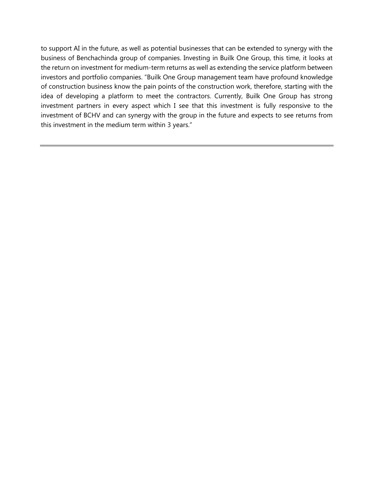to support AI in the future, as well as potential businesses that can be extended to synergy with the business of Benchachinda group of companies. Investing in Builk One Group, this time, it looks at the return on investment for medium-term returns as well as extending the service platform between investors and portfolio companies. "Builk One Group management team have profound knowledge of construction business know the pain points of the construction work, therefore, starting with the idea of developing a platform to meet the contractors. Currently, Builk One Group has strong investment partners in every aspect which I see that this investment is fully responsive to the investment of BCHV and can synergy with the group in the future and expects to see returns from this investment in the medium term within 3 years."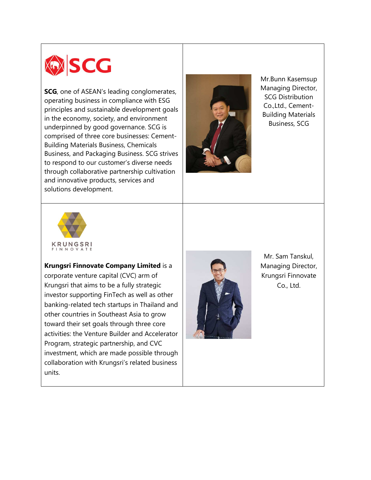

**SCG**, one of ASEAN's leading conglomerates, operating business in compliance with ESG principles and sustainable development goals in the economy, society, and environment underpinned by good governance. SCG is comprised of three core businesses: Cement-Building Materials Business, Chemicals Business, and Packaging Business. SCG strives to respond to our customer's diverse needs through collaborative partnership cultivation and innovative products, services and solutions development.



Mr.Bunn Kasemsup Managing Director, SCG Distribution Co.,Ltd., Cement-Building Materials Business, SCG



**Krungsri Finnovate Company Limited** is a corporate venture capital (CVC) arm of Krungsri that aims to be a fully strategic investor supporting FinTech as well as other banking-related tech startups in Thailand and other countries in Southeast Asia to grow toward their set goals through three core activities: the Venture Builder and Accelerator Program, strategic partnership, and CVC investment, which are made possible through collaboration with Krungsri's related business units.



Mr. Sam Tanskul, Managing Director, Krungsri Finnovate Co., Ltd.